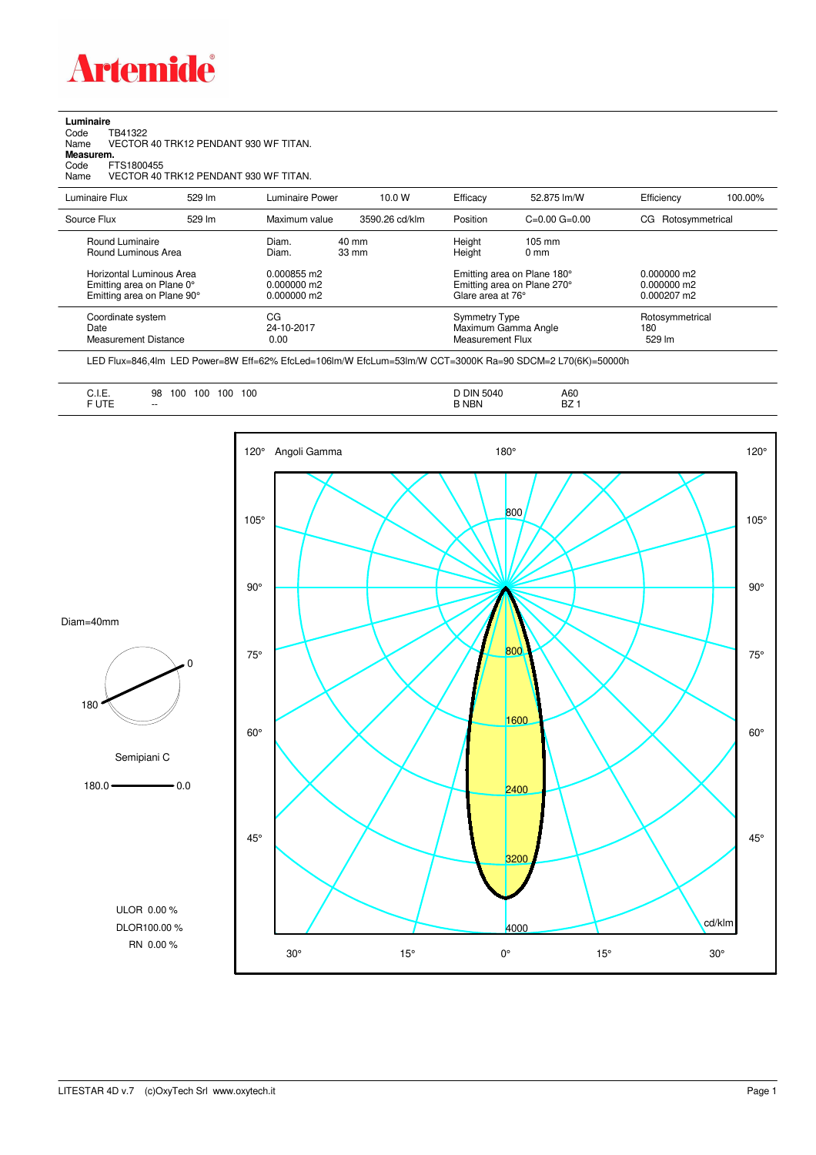

**Luminaire**<br>Code T<br>Name \ Code TB41322 Name VECTOR 40 TRK12 PENDANT 930 WF TITAN.

**Measurem.**

Code FTS1800455 Name VECTOR 40 TRK12 PENDANT 930 WF TITAN.

| Luminaire Flux                                                                                                                | 529 lm | Luminaire Power                                                 | 10.0 W                             | Efficacy                              | 52.875 lm/W                                                                                      | Efficiency                                      | 100.00% |
|-------------------------------------------------------------------------------------------------------------------------------|--------|-----------------------------------------------------------------|------------------------------------|---------------------------------------|--------------------------------------------------------------------------------------------------|-------------------------------------------------|---------|
| Source Flux                                                                                                                   | 529 lm | Maximum value                                                   | 3590.26 cd/klm                     | Position                              | $C=0.00$ $G=0.00$                                                                                | CG Rotosymmetrical                              |         |
| Round Luminaire<br>Round Luminous Area<br>Horizontal Luminous Area<br>Emitting area on Plane 0°<br>Emitting area on Plane 90° |        | Diam.<br>Diam.<br>0.000855 m2<br>$0.000000$ m2<br>$0.000000$ m2 | $40 \text{ mm}$<br>$33 \text{ mm}$ | Height<br>Height<br>Glare area at 76° | $105 \text{ mm}$<br>$0 \text{ mm}$<br>Emitting area on Plane 180°<br>Emitting area on Plane 270° | $0.000000$ m2<br>$0.000000$ m2<br>$0.000207$ m2 |         |
| Coordinate system<br>Date<br><b>Measurement Distance</b>                                                                      |        | CG<br>24-10-2017<br>0.00                                        |                                    |                                       | <b>Symmetry Type</b><br>Maximum Gamma Angle<br>Measurement Flux                                  | Rotosymmetrical<br>180<br>529 lm                |         |

LED Flux=846,4lm LED Power=8W Eff=62% EfcLed=106lm/W EfcLum=53lm/W CCT=3000K Ra=90 SDCM=2 L70(6K)=50000h